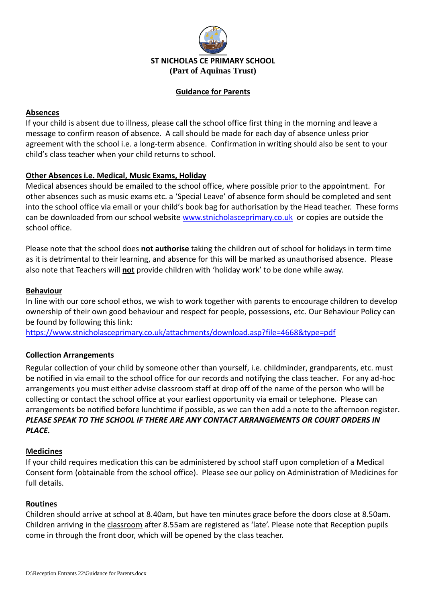

#### **Guidance for Parents**

### **Absences**

If your child is absent due to illness, please call the school office first thing in the morning and leave a message to confirm reason of absence. A call should be made for each day of absence unless prior agreement with the school i.e. a long-term absence. Confirmation in writing should also be sent to your child's class teacher when your child returns to school.

### **Other Absences i.e. Medical, Music Exams, Holiday**

Medical absences should be emailed to the school office, where possible prior to the appointment. For other absences such as music exams etc. a 'Special Leave' of absence form should be completed and sent into the school office via email or your child's book bag for authorisation by the Head teacher. These forms can be downloaded from our school website [www.stnicholasceprimary.co.uk](http://www.stnicholasceprimary.co.uk/) or copies are outside the school office.

Please note that the school does **not authorise** taking the children out of school for holidays in term time as it is detrimental to their learning, and absence for this will be marked as unauthorised absence. Please also note that Teachers will **not** provide children with 'holiday work' to be done while away.

### **Behaviour**

In line with our core school ethos, we wish to work together with parents to encourage children to develop ownership of their own good behaviour and respect for people, possessions, etc. Our Behaviour Policy can be found by following this link:

<https://www.stnicholasceprimary.co.uk/attachments/download.asp?file=4668&type=pdf>

### **Collection Arrangements**

Regular collection of your child by someone other than yourself, i.e. childminder, grandparents, etc. must be notified in via email to the school office for our records and notifying the class teacher. For any ad-hoc arrangements you must either advise classroom staff at drop off of the name of the person who will be collecting or contact the school office at your earliest opportunity via email or telephone. Please can arrangements be notified before lunchtime if possible, as we can then add a note to the afternoon register. *PLEASE SPEAK TO THE SCHOOL IF THERE ARE ANY CONTACT ARRANGEMENTS OR COURT ORDERS IN PLACE.*

#### **Medicines**

If your child requires medication this can be administered by school staff upon completion of a Medical Consent form (obtainable from the school office). Please see our policy on Administration of Medicines for full details.

#### **Routines**

Children should arrive at school at 8.40am, but have ten minutes grace before the doors close at 8.50am. Children arriving in the classroom after 8.55am are registered as 'late'. Please note that Reception pupils come in through the front door, which will be opened by the class teacher.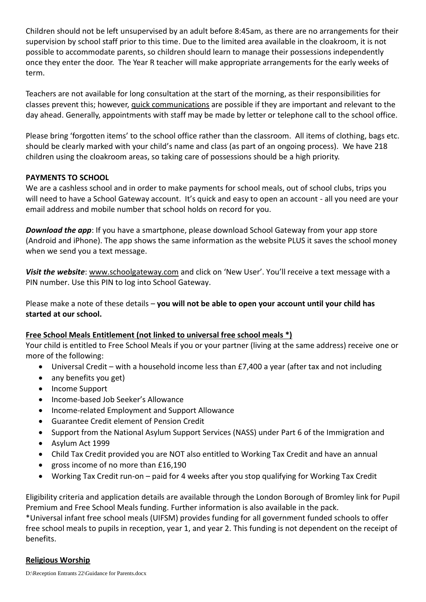Children should not be left unsupervised by an adult before 8:45am, as there are no arrangements for their supervision by school staff prior to this time. Due to the limited area available in the cloakroom, it is not possible to accommodate parents, so children should learn to manage their possessions independently once they enter the door. The Year R teacher will make appropriate arrangements for the early weeks of term.

Teachers are not available for long consultation at the start of the morning, as their responsibilities for classes prevent this; however, quick communications are possible if they are important and relevant to the day ahead. Generally, appointments with staff may be made by letter or telephone call to the school office.

Please bring 'forgotten items' to the school office rather than the classroom. All items of clothing, bags etc. should be clearly marked with your child's name and class (as part of an ongoing process). We have 218 children using the cloakroom areas, so taking care of possessions should be a high priority.

### **PAYMENTS TO SCHOOL**

We are a cashless school and in order to make payments for school meals, out of school clubs, trips you will need to have a School Gateway account. It's quick and easy to open an account - all you need are your email address and mobile number that school holds on record for you.

**Download the app**: If you have a smartphone, please download School Gateway from your app store (Android and iPhone). The app shows the same information as the website PLUS it saves the school money when we send you a text message.

*Visit the website*: www.schoolgateway.com and click on 'New User'. You'll receive a text message with a PIN number. Use this PIN to log into School Gateway.

Please make a note of these details – **you will not be able to open your account until your child has started at our school.**

### **Free School Meals Entitlement (not linked to universal free school meals \*)**

Your child is entitled to Free School Meals if you or your partner (living at the same address) receive one or more of the following:

- Universal Credit with a household income less than £7,400 a year (after tax and not including
- any benefits you get)
- Income Support
- Income-based Job Seeker's Allowance
- Income-related Employment and Support Allowance
- Guarantee Credit element of Pension Credit
- Support from the National Asylum Support Services (NASS) under Part 6 of the Immigration and
- Asylum Act 1999
- Child Tax Credit provided you are NOT also entitled to Working Tax Credit and have an annual
- gross income of no more than £16,190
- Working Tax Credit run-on paid for 4 weeks after you stop qualifying for Working Tax Credit

Eligibility criteria and application details are available through the London Borough of Bromley link for Pupil Premium and Free School Meals funding. Further information is also available in the pack.

\*Universal infant free school meals (UIFSM) provides funding for all government funded schools to offer free school meals to pupils in reception, year 1, and year 2. This funding is not dependent on the receipt of benefits.

### **Religious Worship**